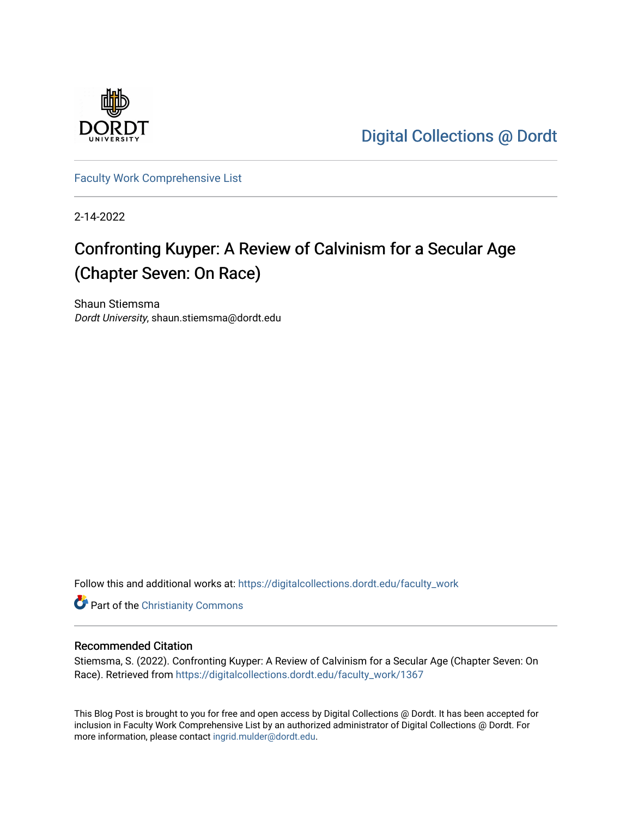

[Digital Collections @ Dordt](https://digitalcollections.dordt.edu/) 

[Faculty Work Comprehensive List](https://digitalcollections.dordt.edu/faculty_work)

2-14-2022

# Confronting Kuyper: A Review of Calvinism for a Secular Age (Chapter Seven: On Race)

Shaun Stiemsma Dordt University, shaun.stiemsma@dordt.edu

Follow this and additional works at: [https://digitalcollections.dordt.edu/faculty\\_work](https://digitalcollections.dordt.edu/faculty_work?utm_source=digitalcollections.dordt.edu%2Ffaculty_work%2F1367&utm_medium=PDF&utm_campaign=PDFCoverPages) 

Part of the [Christianity Commons](http://network.bepress.com/hgg/discipline/1181?utm_source=digitalcollections.dordt.edu%2Ffaculty_work%2F1367&utm_medium=PDF&utm_campaign=PDFCoverPages) 

### Recommended Citation

Stiemsma, S. (2022). Confronting Kuyper: A Review of Calvinism for a Secular Age (Chapter Seven: On Race). Retrieved from [https://digitalcollections.dordt.edu/faculty\\_work/1367](https://digitalcollections.dordt.edu/faculty_work/1367?utm_source=digitalcollections.dordt.edu%2Ffaculty_work%2F1367&utm_medium=PDF&utm_campaign=PDFCoverPages) 

This Blog Post is brought to you for free and open access by Digital Collections @ Dordt. It has been accepted for inclusion in Faculty Work Comprehensive List by an authorized administrator of Digital Collections @ Dordt. For more information, please contact [ingrid.mulder@dordt.edu.](mailto:ingrid.mulder@dordt.edu)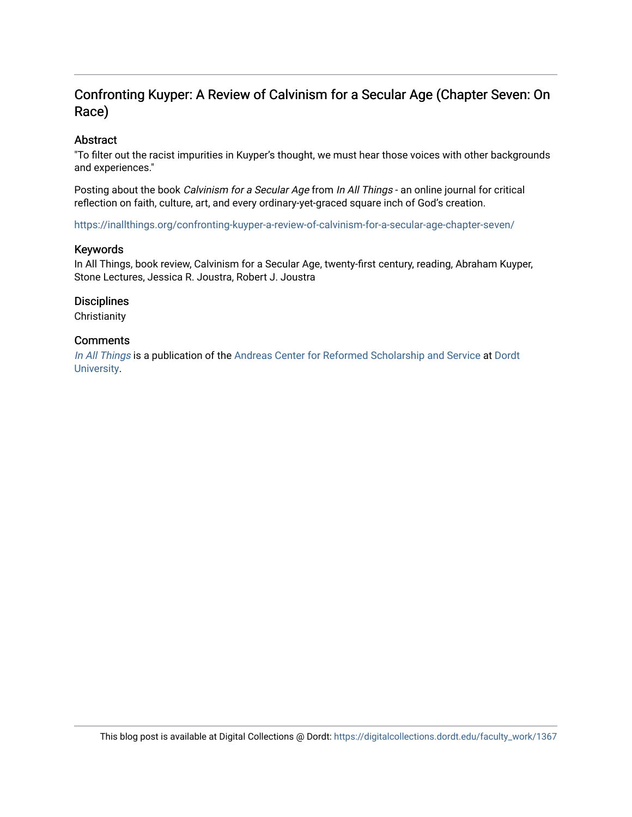# Confronting Kuyper: A Review of Calvinism for a Secular Age (Chapter Seven: On Race)

### Abstract

"To filter out the racist impurities in Kuyper's thought, we must hear those voices with other backgrounds and experiences."

Posting about the book Calvinism for a Secular Age from In All Things - an online journal for critical reflection on faith, culture, art, and every ordinary-yet-graced square inch of God's creation.

<https://inallthings.org/confronting-kuyper-a-review-of-calvinism-for-a-secular-age-chapter-seven/>

### Keywords

In All Things, book review, Calvinism for a Secular Age, twenty-first century, reading, Abraham Kuyper, Stone Lectures, Jessica R. Joustra, Robert J. Joustra

### **Disciplines**

**Christianity** 

### **Comments**

[In All Things](http://inallthings.org/) is a publication of the [Andreas Center for Reformed Scholarship and Service](http://www.dordt.edu/services_support/andreas_center/) at Dordt [University](http://www.dordt.edu/).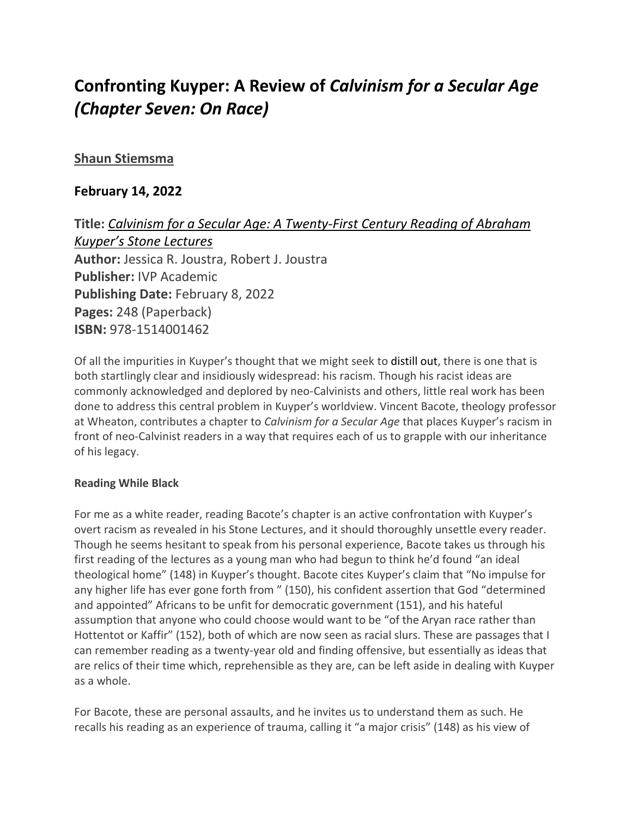# **Confronting Kuyper: A Review of** *Calvinism for a Secular Age (Chapter Seven: On Race)*

## **[Shaun Stiemsma](https://inallthings.org/author/shaun-stiemsma/)**

# **February 14, 2022**

**Title:** *Calvinism for a Secular Age: A Twenty-First Century Reading of Abraham Kuyper's Stone Lectures* **Author:** Jessica R. Joustra, Robert J. Joustra **Publisher:** IVP Academic **Publishing Date:** February 8, 2022 **Pages:** 248 (Paperback) **ISBN:** 978-1514001462

Of all the impurities in Kuyper's thought that we might seek to distill out, there is one that is both startlingly clear and insidiously widespread: his racism. Though his racist ideas are commonly acknowledged and deplored by neo-Calvinists and others, little real work has been done to address this central problem in Kuyper's worldview. Vincent Bacote, theology professor at Wheaton, contributes a chapter to *Calvinism for a Secular Age* that places Kuyper's racism in front of neo-Calvinist readers in a way that requires each of us to grapple with our inheritance of his legacy.

## **Reading While Black**

For me as a white reader, reading Bacote's chapter is an active confrontation with Kuyper's overt racism as revealed in his Stone Lectures, and it should thoroughly unsettle every reader. Though he seems hesitant to speak from his personal experience, Bacote takes us through his first reading of the lectures as a young man who had begun to think he'd found "an ideal theological home" (148) in Kuyper's thought. Bacote cites Kuyper's claim that "No impulse for any higher life has ever gone forth from " (150), his confident assertion that God "determined and appointed" Africans to be unfit for democratic government (151), and his hateful assumption that anyone who could choose would want to be "of the Aryan race rather than Hottentot or Kaffir" (152), both of which are now seen as racial slurs. These are passages that I can remember reading as a twenty-year old and finding offensive, but essentially as ideas that are relics of their time which, reprehensible as they are, can be left aside in dealing with Kuyper as a whole.

For Bacote, these are personal assaults, and he invites us to understand them as such. He recalls his reading as an experience of trauma, calling it "a major crisis" (148) as his view of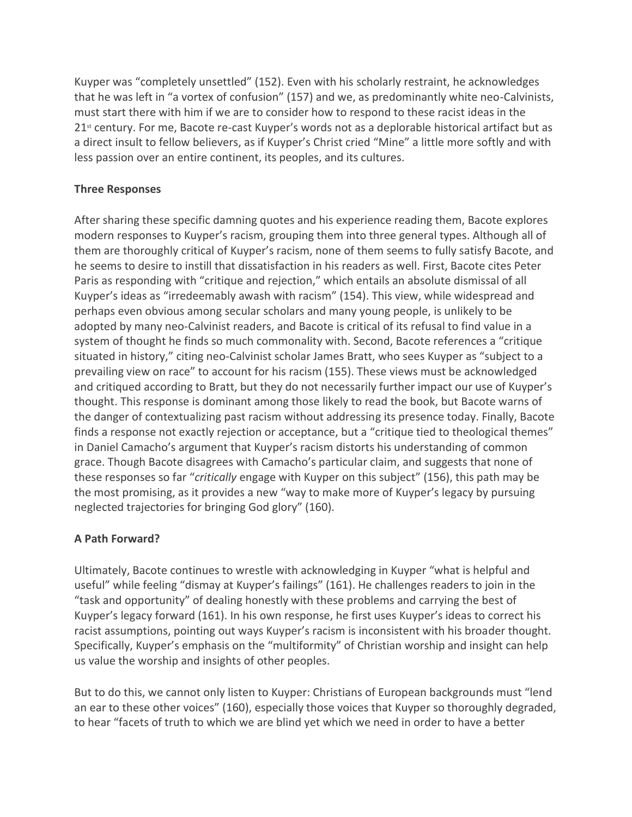Kuyper was "completely unsettled" (152). Even with his scholarly restraint, he acknowledges that he was left in "a vortex of confusion" (157) and we, as predominantly white neo-Calvinists, must start there with him if we are to consider how to respond to these racist ideas in the 21<sup>st</sup> century. For me, Bacote re-cast Kuyper's words not as a deplorable historical artifact but as a direct insult to fellow believers, as if Kuyper's Christ cried "Mine" a little more softly and with less passion over an entire continent, its peoples, and its cultures.

### **Three Responses**

After sharing these specific damning quotes and his experience reading them, Bacote explores modern responses to Kuyper's racism, grouping them into three general types. Although all of them are thoroughly critical of Kuyper's racism, none of them seems to fully satisfy Bacote, and he seems to desire to instill that dissatisfaction in his readers as well. First, Bacote cites Peter Paris as responding with "critique and rejection," which entails an absolute dismissal of all Kuyper's ideas as "irredeemably awash with racism" (154). This view, while widespread and perhaps even obvious among secular scholars and many young people, is unlikely to be adopted by many neo-Calvinist readers, and Bacote is critical of its refusal to find value in a system of thought he finds so much commonality with. Second, Bacote references a "critique situated in history," citing neo-Calvinist scholar James Bratt, who sees Kuyper as "subject to a prevailing view on race" to account for his racism (155). These views must be acknowledged and critiqued according to Bratt, but they do not necessarily further impact our use of Kuyper's thought. This response is dominant among those likely to read the book, but Bacote warns of the danger of contextualizing past racism without addressing its presence today. Finally, Bacote finds a response not exactly rejection or acceptance, but a "critique tied to theological themes" in Daniel Camacho's argument that Kuyper's racism distorts his understanding of common grace. Though Bacote disagrees with Camacho's particular claim, and suggests that none of these responses so far "*critically* engage with Kuyper on this subject" (156), this path may be the most promising, as it provides a new "way to make more of Kuyper's legacy by pursuing neglected trajectories for bringing God glory" (160).

## **A Path Forward?**

Ultimately, Bacote continues to wrestle with acknowledging in Kuyper "what is helpful and useful" while feeling "dismay at Kuyper's failings" (161). He challenges readers to join in the "task and opportunity" of dealing honestly with these problems and carrying the best of Kuyper's legacy forward (161). In his own response, he first uses Kuyper's ideas to correct his racist assumptions, pointing out ways Kuyper's racism is inconsistent with his broader thought. Specifically, Kuyper's emphasis on the "multiformity" of Christian worship and insight can help us value the worship and insights of other peoples.

But to do this, we cannot only listen to Kuyper: Christians of European backgrounds must "lend an ear to these other voices" (160), especially those voices that Kuyper so thoroughly degraded, to hear "facets of truth to which we are blind yet which we need in order to have a better